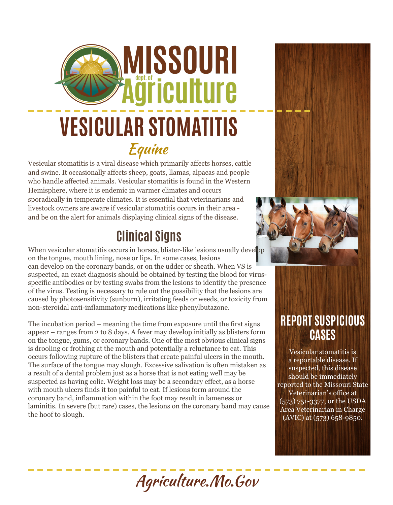# **AISSOURI** äřiculture **VESICULAR STOMATITIS** Equine

Vesicular stomatitis is a viral disease which primarily affects horses, cattle and swine. It occasionally affects sheep, goats, llamas, alpacas and people who handle affected animals. Vesicular stomatitis is found in the Western Hemisphere, where it is endemic in warmer climates and occurs sporadically in temperate climates. It is essential that veterinarians and livestock owners are aware if vesicular stomatitis occurs in their area and be on the alert for animals displaying clinical signs of the disease.

#### **Clinical Signs**

When vesicular stomatitis occurs in horses, blister-like lesions usually develop on the tongue, mouth lining, nose or lips. In some cases, lesions can develop on the coronary bands, or on the udder or sheath. When VS is suspected, an exact diagnosis should be obtained by testing the blood for virusspecific antibodies or by testing swabs from the lesions to identify the presence of the virus. Testing is necessary to rule out the possibility that the lesions are caused by photosensitivity (sunburn), irritating feeds or weeds, or toxicity from non-steroidal anti-inflammatory medications like phenylbutazone.

The incubation period – meaning the time from exposure until the first signs appear – ranges from 2 to 8 days. A fever may develop initially as blisters form on the tongue, gums, or coronary bands. One of the most obvious clinical signs is drooling or frothing at the mouth and potentially a reluctance to eat. This occurs following rupture of the blisters that create painful ulcers in the mouth. The surface of the tongue may slough. Excessive salivation is often mistaken as a result of a dental problem just as a horse that is not eating well may be suspected as having colic. Weight loss may be a secondary effect, as a horse with mouth ulcers finds it too painful to eat. If lesions form around the coronary band, inflammation within the foot may result in lameness or laminitis. In severe (but rare) cases, the lesions on the coronary band may cause the hoof to slough.



#### **REPORT SUSPICIOUS CASES**

Vesicular stomatitis is a reportable disease. If suspected, this disease should be immediately reported to the Missouri State Veterinarian's office at (573) 751-3377, or the USDA Area Veterinarian in Charge  $(AVIC)$  at  $(573)$  658-9850.

## Agriculture.Mo.Gov